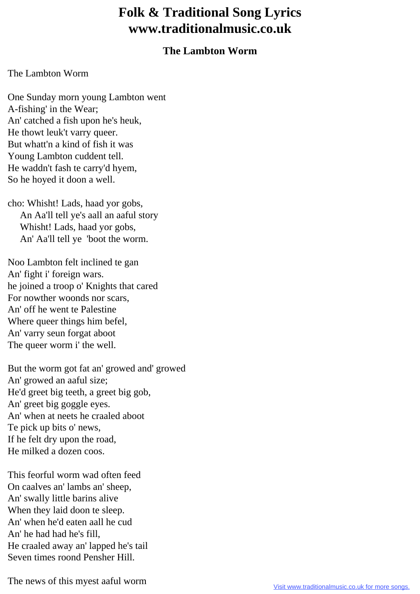## **Folk & Traditional Song Lyrics www.traditionalmusic.co.uk**

## **The Lambton Worm**

## The Lambton Worm

One Sunday morn young Lambton went A-fishing' in the Wear; An' catched a fish upon he's heuk, He thowt leuk't varry queer. But whatt'n a kind of fish it was Young Lambton cuddent tell. He waddn't fash te carry'd hyem, So he hoyed it doon a well.

cho: Whisht! Lads, haad yor gobs, An Aa'll tell ye's aall an aaful story Whisht! Lads, haad yor gobs, An' Aa'll tell ye 'boot the worm.

Noo Lambton felt inclined te gan An' fight i' foreign wars. he joined a troop o' Knights that cared For nowther woonds nor scars, An' off he went te Palestine Where queer things him befel, An' varry seun forgat aboot The queer worm i' the well.

But the worm got fat an' growed and' growed An' growed an aaful size; He'd greet big teeth, a greet big gob, An' greet big goggle eyes. An' when at neets he craaled aboot Te pick up bits o' news, If he felt dry upon the road, He milked a dozen coos.

This feorful worm wad often feed On caalves an' lambs an' sheep, An' swally little barins alive When they laid doon te sleep. An' when he'd eaten aall he cud An' he had had he's fill, He craaled away an' lapped he's tail Seven times roond Pensher Hill.

The news of this myest aaful worm